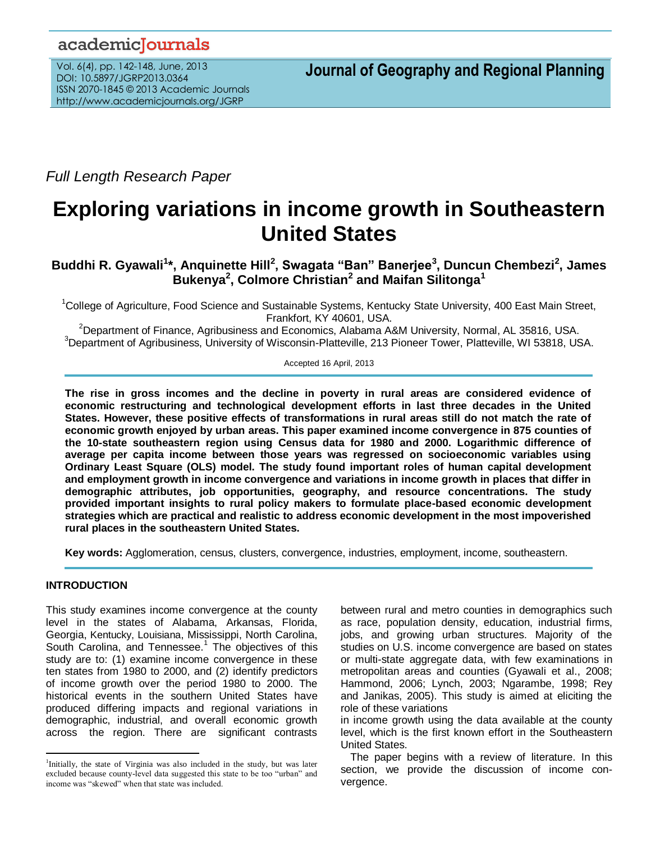## academicJournals

Vol. 6(4), pp. 142-148, June, 2013 DOI: 10.5897/JGRP2013.0364 ISSN 2070-1845 © 2013 Academic Journals http://www.academicjournals.org/JGRP

**Journal of Geography and Regional Planning**

*Full Length Research Paper*

# **Exploring variations in income growth in Southeastern United States**

**Buddhi R. Gyawali<sup>1</sup> \*, Anquinette Hill<sup>2</sup> , Swagata "Ban" Banerjee<sup>3</sup> , Duncun Chembezi<sup>2</sup> , James Bukenya<sup>2</sup> , Colmore Christian<sup>2</sup> and Maifan Silitonga<sup>1</sup>**

<sup>1</sup>College of Agriculture, Food Science and Sustainable Systems, Kentucky State University, 400 East Main Street, Frankfort, KY 40601, USA.

<sup>2</sup>Department of Finance, Agribusiness and Economics, Alabama A&M University, Normal, AL 35816, USA. <sup>3</sup>Department of Agribusiness, University of Wisconsin-Platteville, 213 Pioneer Tower, Platteville, WI 53818, USA.

Accepted 16 April, 2013

**The rise in gross incomes and the decline in poverty in rural areas are considered evidence of economic restructuring and technological development efforts in last three decades in the United States. However, these positive effects of transformations in rural areas still do not match the rate of economic growth enjoyed by urban areas. This paper examined income convergence in 875 counties of the 10-state southeastern region using Census data for 1980 and 2000. Logarithmic difference of average per capita income between those years was regressed on socioeconomic variables using Ordinary Least Square (OLS) model. The study found important roles of human capital development and employment growth in income convergence and variations in income growth in places that differ in demographic attributes, job opportunities, geography, and resource concentrations. The study provided important insights to rural policy makers to formulate place-based economic development strategies which are practical and realistic to address economic development in the most impoverished rural places in the southeastern United States.** 

**Key words:** Agglomeration, census, clusters, convergence, industries, employment, income, southeastern.

## **INTRODUCTION**

 $\overline{a}$ 

This study examines income convergence at the county level in the states of Alabama, Arkansas, Florida, Georgia, Kentucky, Louisiana, Mississippi, North Carolina, South Carolina, and Tennessee.<sup>1</sup> The objectives of this study are to: (1) examine income convergence in these ten states from 1980 to 2000, and (2) identify predictors of income growth over the period 1980 to 2000. The historical events in the southern United States have produced differing impacts and regional variations in demographic, industrial, and overall economic growth across the region. There are significant contrasts

between rural and metro counties in demographics such as race, population density, education, industrial firms, jobs, and growing urban structures. Majority of the studies on U.S. income convergence are based on states or multi-state aggregate data, with few examinations in metropolitan areas and counties (Gyawali et al., 2008; Hammond, 2006; Lynch, 2003; Ngarambe, 1998; Rey and Janikas, 2005). This study is aimed at eliciting the role of these variations

in income growth using the data available at the county level, which is the first known effort in the Southeastern United States.

The paper begins with a review of literature. In this section, we provide the discussion of income convergence.

<sup>&</sup>lt;sup>1</sup>Initially, the state of Virginia was also included in the study, but was later excluded because county-level data suggested this state to be too "urban" and income was "skewed" when that state was included.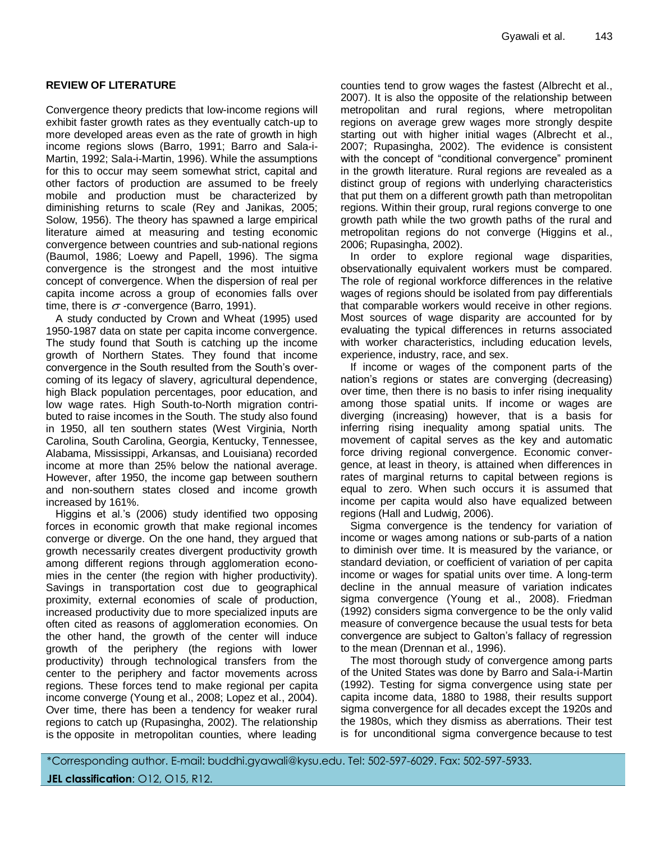## **REVIEW OF LITERATURE**

Convergence theory predicts that low-income regions will exhibit faster growth rates as they eventually catch-up to more developed areas even as the rate of growth in high income regions slows (Barro, 1991; Barro and Sala-i-Martin, 1992; Sala-i-Martin, 1996). While the assumptions for this to occur may seem somewhat strict, capital and other factors of production are assumed to be freely mobile and production must be characterized by diminishing returns to scale (Rey and Janikas, 2005; Solow, 1956). The theory has spawned a large empirical literature aimed at measuring and testing economic convergence between countries and sub-national regions (Baumol, 1986; Loewy and Papell, 1996). The sigma convergence is the strongest and the most intuitive concept of convergence. When the dispersion of real per capita income across a group of economies falls over time, there is  $\sigma$  -convergence (Barro, 1991).

A study conducted by Crown and Wheat (1995) used 1950-1987 data on state per capita income convergence. The study found that South is catching up the income growth of Northern States. They found that income convergence in the South resulted from the South's overcoming of its legacy of slavery, agricultural dependence, high Black population percentages, poor education, and low wage rates. High South-to-North migration contributed to raise incomes in the South. The study also found in 1950, all ten southern states (West Virginia, North Carolina, South Carolina, Georgia, Kentucky, Tennessee, Alabama, Mississippi, Arkansas, and Louisiana) recorded income at more than 25% below the national average. However, after 1950, the income gap between southern and non-southern states closed and income growth increased by 161%.

Higgins et al.'s (2006) study identified two opposing forces in economic growth that make regional incomes converge or diverge. On the one hand, they argued that growth necessarily creates divergent productivity growth among different regions through agglomeration economies in the center (the region with higher productivity). Savings in transportation cost due to geographical proximity, external economies of scale of production, increased productivity due to more specialized inputs are often cited as reasons of agglomeration economies. On the other hand, the growth of the center will induce growth of the periphery (the regions with lower productivity) through technological transfers from the center to the periphery and factor movements across regions. These forces tend to make regional per capita income converge (Young et al., 2008; Lopez et al., 2004). Over time, there has been a tendency for weaker rural regions to catch up (Rupasingha, 2002). The relationship is the opposite in metropolitan counties, where leading

counties tend to grow wages the fastest (Albrecht et al., 2007). It is also the opposite of the relationship between metropolitan and rural regions, where metropolitan regions on average grew wages more strongly despite starting out with higher initial wages (Albrecht et al., 2007; Rupasingha, 2002). The evidence is consistent with the concept of "conditional convergence" prominent in the growth literature. Rural regions are revealed as a distinct group of regions with underlying characteristics that put them on a different growth path than metropolitan regions. Within their group, rural regions converge to one growth path while the two growth paths of the rural and metropolitan regions do not converge (Higgins et al., 2006; Rupasingha, 2002).

In order to explore regional wage disparities, observationally equivalent workers must be compared. The role of regional workforce differences in the relative wages of regions should be isolated from pay differentials that comparable workers would receive in other regions. Most sources of wage disparity are accounted for by evaluating the typical differences in returns associated with worker characteristics, including education levels, experience, industry, race, and sex.

If income or wages of the component parts of the nation's regions or states are converging (decreasing) over time, then there is no basis to infer rising inequality among those spatial units. If income or wages are diverging (increasing) however, that is a basis for inferring rising inequality among spatial units. The movement of capital serves as the key and automatic force driving regional convergence. Economic convergence, at least in theory, is attained when differences in rates of marginal returns to capital between regions is equal to zero. When such occurs it is assumed that income per capita would also have equalized between regions (Hall and Ludwig, 2006).

Sigma convergence is the tendency for variation of income or wages among nations or sub-parts of a nation to diminish over time. It is measured by the variance, or standard deviation, or coefficient of variation of per capita income or wages for spatial units over time. A long-term decline in the annual measure of variation indicates sigma convergence (Young et al., 2008). Friedman (1992) considers sigma convergence to be the only valid measure of convergence because the usual tests for beta convergence are subject to Galton's fallacy of regression to the mean (Drennan et al., 1996).

The most thorough study of convergence among parts of the United States was done by Barro and Sala-i-Martin (1992). Testing for sigma convergence using state per capita income data, 1880 to 1988, their results support sigma convergence for all decades except the 1920s and the 1980s, which they dismiss as aberrations. Their test is for unconditional sigma convergence because to test

\*Corresponding author. E-mail: buddhi.gyawali@kysu.edu. Tel: 502-597-6029. Fax: 502-597-5933.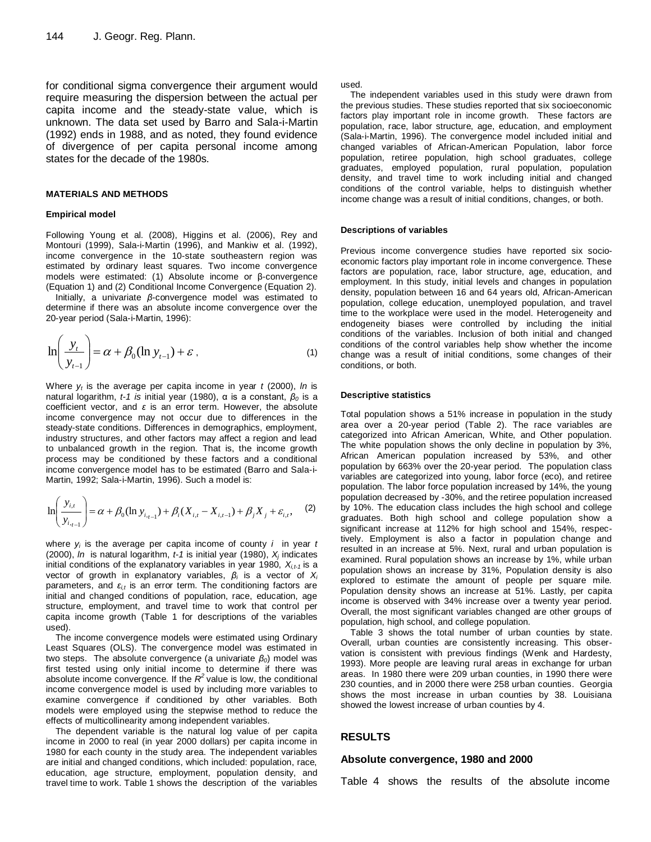for conditional sigma convergence their argument would require measuring the dispersion between the actual per capita income and the steady-state value, which is unknown. The data set used by Barro and Sala-i-Martin (1992) ends in 1988, and as noted, they found evidence of divergence of per capita personal income among states for the decade of the 1980s.

#### **MATERIALS AND METHODS**

#### **Empirical model**

Following Young et al. (2008), Higgins et al. (2006), Rey and Montouri (1999), Sala-i-Martin (1996), and Mankiw et al. (1992), income convergence in the 10-state southeastern region was estimated by ordinary least squares. Two income convergence models were estimated: (1) Absolute income or β-convergence (Equation 1) and (2) Conditional Income Convergence (Equation 2).

Initially, a univariate *β*-convergence model was estimated to determine if there was an absolute income convergence over the 20-year period (Sala-i-Martin, 1996):

$$
\ln\left(\frac{y_t}{y_{t-1}}\right) = \alpha + \beta_0 (\ln y_{t-1}) + \varepsilon \tag{1}
$$

Where *y<sup>t</sup>* is the average per capita income in year *t* (2000), *ln* is natural logarithm, *t-1 is* initial year (1980), α is a constant, *β<sup>0</sup>* is a coefficient vector, and *ε* is an error term. However, the absolute income convergence may not occur due to differences in the steady-state conditions. Differences in demographics, employment, industry structures, and other factors may affect a region and lead to unbalanced growth in the region. That is, the income growth process may be conditioned by these factors and a conditional income convergence model has to be estimated (Barro and Sala-i-Martin, 1992; Sala-i-Martin, 1996). Such a model is:

$$
\ln\left(\frac{y_{i,t}}{y_{i,t-1}}\right) = \alpha + \beta_0 (\ln y_{i,t-1}) + \beta_i (X_{i,t} - X_{i,t-1}) + \beta_j X_j + \varepsilon_{i,t}, \quad (2)
$$

where *y<sup>i</sup>* is the average per capita income of county *i* in year *t*  (2000), *ln* is natural logarithm, *t-1* is initial year (1980), *X<sup>j</sup>* indicates initial conditions of the explanatory variables in year 1980,  $X_{i,t-1}$  is a vector of growth in explanatory variables, *β<sup>i</sup>* is a vector of *X<sup>i</sup>* parameters, and *εi,t* is an error term. The conditioning factors are initial and changed conditions of population, race, education, age structure, employment, and travel time to work that control per capita income growth (Table 1 for descriptions of the variables used).

The income convergence models were estimated using Ordinary Least Squares (OLS). The convergence model was estimated in two steps. The absolute convergence (a univariate *β0*) model was first tested using only initial income to determine if there was absolute income convergence. If the  $R^2$  value is low, the conditional income convergence model is used by including more variables to examine convergence if conditioned by other variables. Both models were employed using the stepwise method to reduce the effects of multicollinearity among independent variables.

The dependent variable is the natural log value of per capita income in 2000 to real (in year 2000 dollars) per capita income in 1980 for each county in the study area. The independent variables are initial and changed conditions, which included: population, race, education, age structure, employment, population density, and travel time to work. Table 1 shows the description of the variables used.

The independent variables used in this study were drawn from the previous studies. These studies reported that six socioeconomic factors play important role in income growth. These factors are population, race, labor structure, age, education, and employment (Sala-i-Martin, 1996). The convergence model included initial and changed variables of African-American Population, labor force population, retiree population, high school graduates, college graduates, employed population, rural population, population density, and travel time to work including initial and changed conditions of the control variable, helps to distinguish whether income change was a result of initial conditions, changes, or both.

#### **Descriptions of variables**

Previous income convergence studies have reported six socioeconomic factors play important role in income convergence. These factors are population, race, labor structure, age, education, and employment. In this study, initial levels and changes in population density, population between 16 and 64 years old, African-American population, college education, unemployed population, and travel time to the workplace were used in the model. Heterogeneity and endogeneity biases were controlled by including the initial conditions of the variables. Inclusion of both initial and changed conditions of the control variables help show whether the income change was a result of initial conditions, some changes of their conditions, or both.

#### **Descriptive statistics**

Total population shows a 51% increase in population in the study area over a 20-year period (Table 2). The race variables are categorized into African American, White, and Other population. The white population shows the only decline in population by 3%, African American population increased by 53%, and other population by 663% over the 20-year period. The population class variables are categorized into young, labor force (eco), and retiree population. The labor force population increased by 14%, the young population decreased by -30%, and the retiree population increased by 10%. The education class includes the high school and college graduates. Both high school and college population show a significant increase at 112% for high school and 154%, respectively. Employment is also a factor in population change and resulted in an increase at 5%. Next, rural and urban population is examined. Rural population shows an increase by 1%, while urban population shows an increase by 31%, Population density is also explored to estimate the amount of people per square mile. Population density shows an increase at 51%. Lastly, per capita income is observed with 34% increase over a twenty year period. Overall, the most significant variables changed are other groups of population, high school, and college population.

Table 3 shows the total number of urban counties by state. Overall, urban counties are consistently increasing. This observation is consistent with previous findings (Wenk and Hardesty, 1993). More people are leaving rural areas in exchange for urban areas. In 1980 there were 209 urban counties, in 1990 there were 230 counties, and in 2000 there were 258 urban counties. Georgia shows the most increase in urban counties by 38. Louisiana showed the lowest increase of urban counties by 4.

#### **RESULTS**

#### **Absolute convergence, 1980 and 2000**

Table 4 shows the results of the absolute income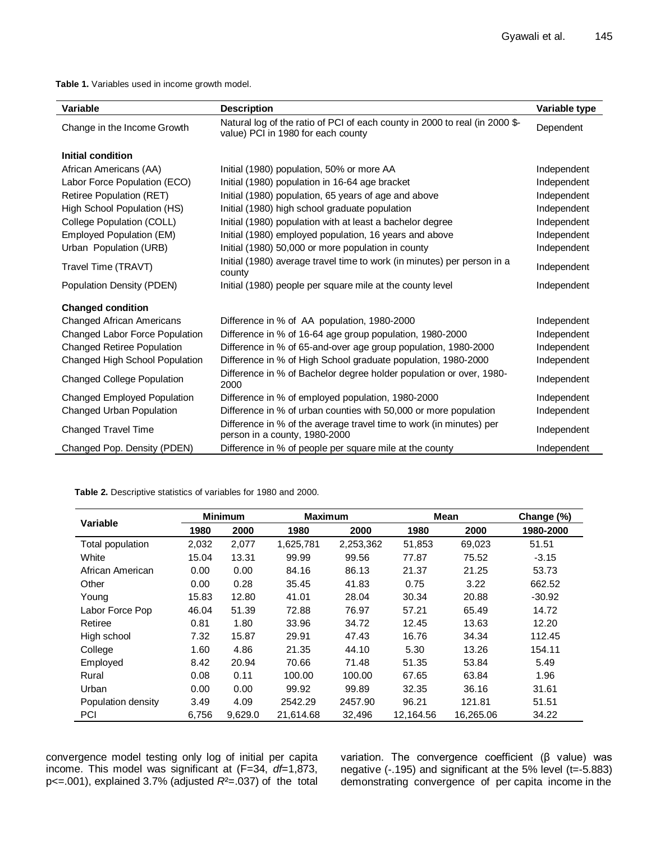**Table 1.** Variables used in income growth model.

| Variable                          | <b>Description</b>                                                                                                | Variable type |
|-----------------------------------|-------------------------------------------------------------------------------------------------------------------|---------------|
| Change in the Income Growth       | Natural log of the ratio of PCI of each county in 2000 to real (in 2000 \$-<br>value) PCI in 1980 for each county | Dependent     |
| Initial condition                 |                                                                                                                   |               |
| African Americans (AA)            | Initial (1980) population, 50% or more AA                                                                         | Independent   |
| Labor Force Population (ECO)      | Initial (1980) population in 16-64 age bracket                                                                    | Independent   |
| Retiree Population (RET)          | Initial (1980) population, 65 years of age and above                                                              | Independent   |
| High School Population (HS)       | Initial (1980) high school graduate population                                                                    | Independent   |
| College Population (COLL)         | Initial (1980) population with at least a bachelor degree                                                         | Independent   |
| Employed Population (EM)          | Initial (1980) employed population, 16 years and above                                                            | Independent   |
| Urban Population (URB)            | Initial (1980) 50,000 or more population in county                                                                | Independent   |
| Travel Time (TRAVT)               | Initial (1980) average travel time to work (in minutes) per person in a<br>county                                 | Independent   |
| Population Density (PDEN)         | Initial (1980) people per square mile at the county level                                                         | Independent   |
| <b>Changed condition</b>          |                                                                                                                   |               |
| <b>Changed African Americans</b>  | Difference in % of AA population, 1980-2000                                                                       | Independent   |
| Changed Labor Force Population    | Difference in % of 16-64 age group population, 1980-2000                                                          | Independent   |
| <b>Changed Retiree Population</b> | Difference in % of 65-and-over age group population, 1980-2000                                                    | Independent   |
| Changed High School Population    | Difference in % of High School graduate population, 1980-2000                                                     | Independent   |
| <b>Changed College Population</b> | Difference in % of Bachelor degree holder population or over, 1980-<br>2000                                       | Independent   |
| Changed Employed Population       | Difference in % of employed population, 1980-2000                                                                 | Independent   |
| Changed Urban Population          | Difference in % of urban counties with 50,000 or more population                                                  | Independent   |
| <b>Changed Travel Time</b>        | Difference in % of the average travel time to work (in minutes) per<br>person in a county, 1980-2000              | Independent   |
| Changed Pop. Density (PDEN)       | Difference in % of people per square mile at the county                                                           | Independent   |

**Table 2.** Descriptive statistics of variables for 1980 and 2000.

| Variable           | <b>Minimum</b> |         | <b>Maximum</b> |           | <b>Mean</b> |           | Change (%) |
|--------------------|----------------|---------|----------------|-----------|-------------|-----------|------------|
|                    | 1980           | 2000    | 1980           | 2000      | 1980        | 2000      | 1980-2000  |
| Total population   | 2,032          | 2,077   | 1,625,781      | 2,253,362 | 51,853      | 69,023    | 51.51      |
| White              | 15.04          | 13.31   | 99.99          | 99.56     | 77.87       | 75.52     | $-3.15$    |
| African American   | 0.00           | 0.00    | 84.16          | 86.13     | 21.37       | 21.25     | 53.73      |
| Other              | 0.00           | 0.28    | 35.45          | 41.83     | 0.75        | 3.22      | 662.52     |
| Young              | 15.83          | 12.80   | 41.01          | 28.04     | 30.34       | 20.88     | $-30.92$   |
| Labor Force Pop    | 46.04          | 51.39   | 72.88          | 76.97     | 57.21       | 65.49     | 14.72      |
| Retiree            | 0.81           | 1.80    | 33.96          | 34.72     | 12.45       | 13.63     | 12.20      |
| High school        | 7.32           | 15.87   | 29.91          | 47.43     | 16.76       | 34.34     | 112.45     |
| College            | 1.60           | 4.86    | 21.35          | 44.10     | 5.30        | 13.26     | 154.11     |
| Employed           | 8.42           | 20.94   | 70.66          | 71.48     | 51.35       | 53.84     | 5.49       |
| Rural              | 0.08           | 0.11    | 100.00         | 100.00    | 67.65       | 63.84     | 1.96       |
| Urban              | 0.00           | 0.00    | 99.92          | 99.89     | 32.35       | 36.16     | 31.61      |
| Population density | 3.49           | 4.09    | 2542.29        | 2457.90   | 96.21       | 121.81    | 51.51      |
| <b>PCI</b>         | 6,756          | 9,629.0 | 21,614.68      | 32,496    | 12,164.56   | 16,265.06 | 34.22      |

convergence model testing only log of initial per capita income. This model was significant at (F=34, *df*=1,873, p<=.001), explained 3.7% (adjusted *R*²=.037) of the total variation. The convergence coefficient (β value) was negative (-.195) and significant at the 5% level (t=-5.883) demonstrating convergence of per capita income in the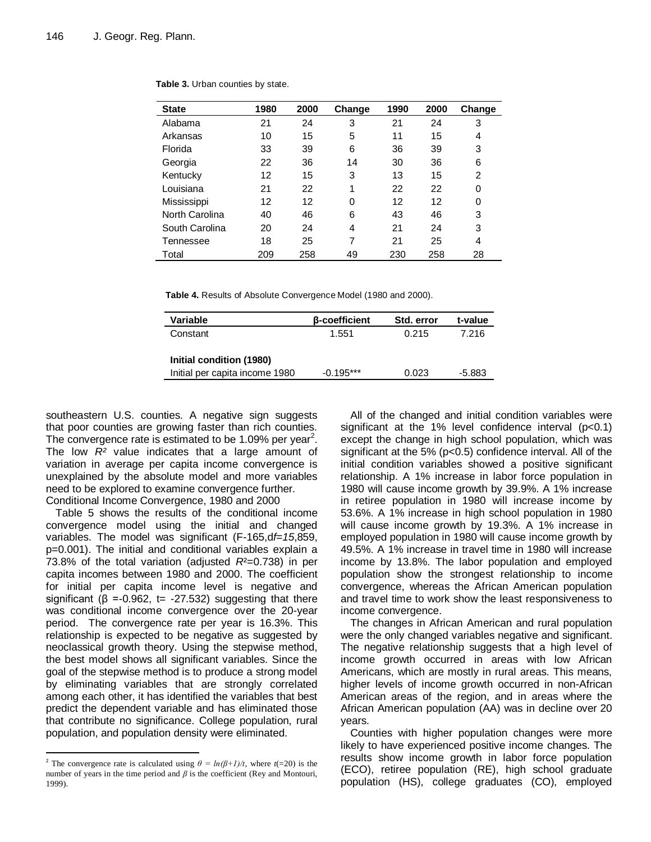| <b>State</b>   | 1980 | 2000 | Change | 1990 | 2000 | Change |
|----------------|------|------|--------|------|------|--------|
| Alabama        | 21   | 24   | 3      | 21   | 24   | 3      |
| Arkansas       | 10   | 15   | 5      | 11   | 15   | 4      |
| Florida        | 33   | 39   | 6      | 36   | 39   | 3      |
| Georgia        | 22   | 36   | 14     | 30   | 36   | 6      |
| Kentucky       | 12   | 15   | 3      | 13   | 15   | 2      |
| Louisiana      | 21   | 22   | 1      | 22   | 22   | 0      |
| Mississippi    | 12   | 12   | 0      | 12   | 12   | 0      |
| North Carolina | 40   | 46   | 6      | 43   | 46   | 3      |
| South Carolina | 20   | 24   | 4      | 21   | 24   | 3      |
| Tennessee      | 18   | 25   | 7      | 21   | 25   | 4      |
| Total          | 209  | 258  | 49     | 230  | 258  | 28     |

**Table 3.** Urban counties by state.

**Table 4.** Results of Absolute Convergence Model (1980 and 2000).

| Variable                       | <b>B-coefficient</b> | Std. error | t-value |
|--------------------------------|----------------------|------------|---------|
| Constant                       | 1.551                | 0.215      | 7.216   |
|                                |                      |            |         |
| Initial condition (1980)       |                      |            |         |
| Initial per capita income 1980 | $-0.195***$          | 0.023      | -5.883  |

southeastern U.S. counties. A negative sign suggests that poor counties are growing faster than rich counties. The convergence rate is estimated to be 1.09% per year<sup>2</sup>. The low *R²* value indicates that a large amount of variation in average per capita income convergence is unexplained by the absolute model and more variables need to be explored to examine convergence further. Conditional Income Convergence, 1980 and 2000

Table 5 shows the results of the conditional income convergence model using the initial and changed variables. The model was significant (F-165,d*f=15*,859, p=0.001). The initial and conditional variables explain a 73.8% of the total variation (adjusted *R*²=0.738) in per capita incomes between 1980 and 2000. The coefficient for initial per capita income level is negative and significant ( $\beta$  =-0.962, t= -27.532) suggesting that there was conditional income convergence over the 20-year period. The convergence rate per year is 16.3%. This relationship is expected to be negative as suggested by neoclassical growth theory. Using the stepwise method, the best model shows all significant variables. Since the goal of the stepwise method is to produce a strong model by eliminating variables that are strongly correlated among each other, it has identified the variables that best predict the dependent variable and has eliminated those that contribute no significance. College population, rural population, and population density were eliminated.

 $\overline{a}$ 

All of the changed and initial condition variables were significant at the 1% level confidence interval (p<0.1) except the change in high school population, which was significant at the 5% (p<0.5) confidence interval. All of the initial condition variables showed a positive significant relationship. A 1% increase in labor force population in 1980 will cause income growth by 39.9%. A 1% increase in retiree population in 1980 will increase income by 53.6%. A 1% increase in high school population in 1980 will cause income growth by 19.3%. A 1% increase in employed population in 1980 will cause income growth by 49.5%. A 1% increase in travel time in 1980 will increase income by 13.8%. The labor population and employed population show the strongest relationship to income convergence, whereas the African American population and travel time to work show the least responsiveness to income convergence.

The changes in African American and rural population were the only changed variables negative and significant. The negative relationship suggests that a high level of income growth occurred in areas with low African Americans, which are mostly in rural areas. This means, higher levels of income growth occurred in non-African American areas of the region, and in areas where the African American population (AA) was in decline over 20 years.

Counties with higher population changes were more likely to have experienced positive income changes. The results show income growth in labor force population (ECO), retiree population (RE), high school graduate population (HS), college graduates (CO), employed

<sup>&</sup>lt;sup>2</sup> The convergence rate is calculated using  $\theta = ln(\beta+1)/t$ , where  $t(=20)$  is the number of years in the time period and  $\beta$  is the coefficient (Rey and Montouri, 1999).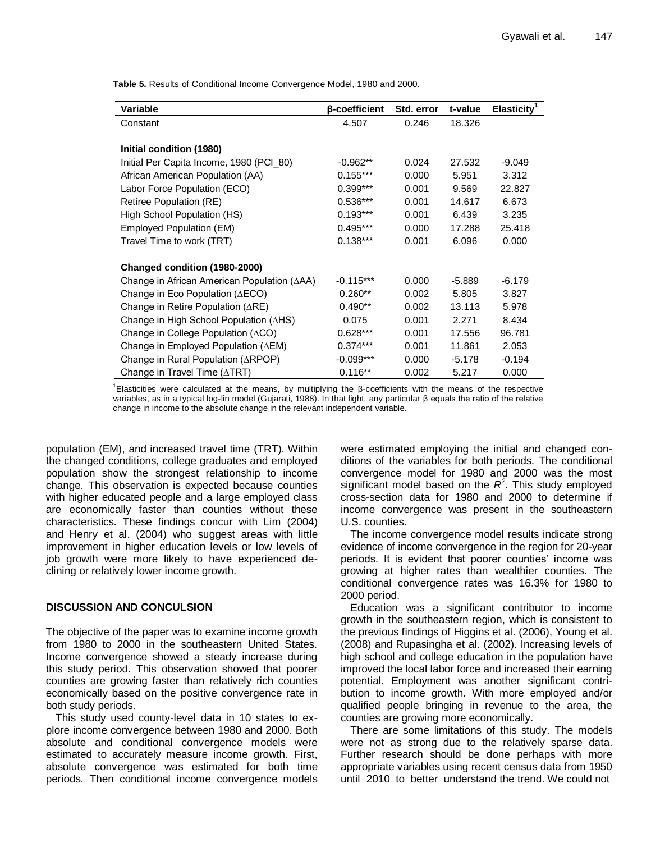**Table 5.** Results of Conditional Income Convergence Model, 1980 and 2000.

| Variable                                                 | <b>B-coefficient</b> | Std. error | t-value  | Elasticity <sup>1</sup> |
|----------------------------------------------------------|----------------------|------------|----------|-------------------------|
| Constant                                                 | 4.507                | 0.246      | 18.326   |                         |
|                                                          |                      |            |          |                         |
| Initial condition (1980)                                 |                      |            |          |                         |
| Initial Per Capita Income, 1980 (PCI_80)                 | $-0.962**$           | 0.024      | 27.532   | -9.049                  |
| African American Population (AA)                         | $0.155***$           | 0.000      | 5.951    | 3.312                   |
| Labor Force Population (ECO)                             | $0.399***$           | 0.001      | 9.569    | 22.827                  |
| Retiree Population (RE)                                  | $0.536***$           | 0.001      | 14.617   | 6.673                   |
| High School Population (HS)                              | $0.193***$           | 0.001      | 6.439    | 3.235                   |
| Employed Population (EM)                                 | $0.495***$           | 0.000      | 17.288   | 25.418                  |
| Travel Time to work (TRT)                                | $0.138***$           | 0.001      | 6.096    | 0.000                   |
|                                                          |                      |            |          |                         |
| Changed condition (1980-2000)                            |                      |            |          |                         |
| Change in African American Population ( $\triangle AA$ ) | $-0.115***$          | 0.000      | $-5.889$ | $-6.179$                |
| Change in Eco Population ( $\triangle ECO$ )             | $0.260**$            | 0.002      | 5.805    | 3.827                   |
| Change in Retire Population $(ARE)$                      | $0.490**$            | 0.002      | 13.113   | 5.978                   |
| Change in High School Population $( \Delta H S)$         | 0.075                | 0.001      | 2.271    | 8.434                   |
| Change in College Population (ACO)                       | $0.628***$           | 0.001      | 17.556   | 96.781                  |
| Change in Employed Population ( $\triangle EM$ )         | $0.374***$           | 0.001      | 11.861   | 2.053                   |
| Change in Rural Population (ARPOP)                       | $-0.099***$          | 0.000      | $-5.178$ | $-0.194$                |
| Change in Travel Time $(\triangle TRT)$                  | $0.116**$            | 0.002      | 5.217    | 0.000                   |

1 Elasticities were calculated at the means, by multiplying the β-coefficients with the means of the respective variables, as in a typical log-lin model (Gujarati, 1988). In that light, any particular β equals the ratio of the relative change in income to the absolute change in the relevant independent variable.

population (EM), and increased travel time (TRT). Within the changed conditions, college graduates and employed population show the strongest relationship to income change. This observation is expected because counties with higher educated people and a large employed class are economically faster than counties without these characteristics. These findings concur with Lim (2004) and Henry et al. (2004) who suggest areas with little improvement in higher education levels or low levels of job growth were more likely to have experienced declining or relatively lower income growth.

## **DISCUSSION AND CONCULSION**

The objective of the paper was to examine income growth from 1980 to 2000 in the southeastern United States. Income convergence showed a steady increase during this study period. This observation showed that poorer counties are growing faster than relatively rich counties economically based on the positive convergence rate in both study periods.

This study used county-level data in 10 states to explore income convergence between 1980 and 2000. Both absolute and conditional convergence models were estimated to accurately measure income growth. First, absolute convergence was estimated for both time periods. Then conditional income convergence models were estimated employing the initial and changed conditions of the variables for both periods. The conditional convergence model for 1980 and 2000 was the most significant model based on the  $R^2$ . This study employed cross-section data for 1980 and 2000 to determine if income convergence was present in the southeastern U.S. counties.

The income convergence model results indicate strong evidence of income convergence in the region for 20-year periods. It is evident that poorer counties' income was growing at higher rates than wealthier counties. The conditional convergence rates was 16.3% for 1980 to 2000 period.

Education was a significant contributor to income growth in the southeastern region, which is consistent to the previous findings of Higgins et al. (2006), Young et al. (2008) and Rupasingha et al. (2002). Increasing levels of high school and college education in the population have improved the local labor force and increased their earning potential. Employment was another significant contribution to income growth. With more employed and/or qualified people bringing in revenue to the area, the counties are growing more economically.

There are some limitations of this study. The models were not as strong due to the relatively sparse data. Further research should be done perhaps with more appropriate variables using recent census data from 1950 until 2010 to better understand the trend. We could not